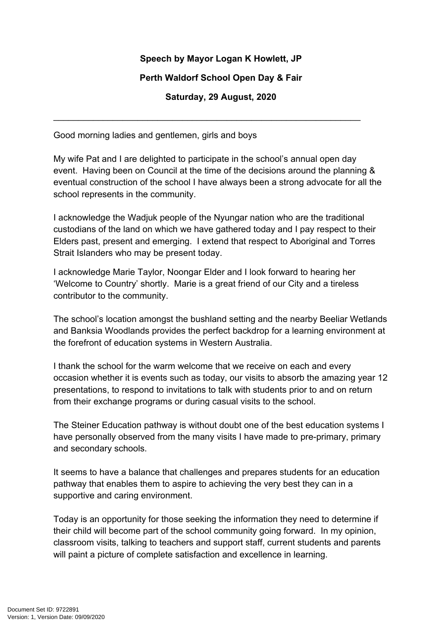## **Speech by Mayor Logan K Howlett, JP**

## **Perth Waldorf School Open Day & Fair**

**Saturday, 29 August, 2020**

\_\_\_\_\_\_\_\_\_\_\_\_\_\_\_\_\_\_\_\_\_\_\_\_\_\_\_\_\_\_\_\_\_\_\_\_\_\_\_\_\_\_\_\_\_\_\_\_\_\_\_\_\_\_\_\_\_\_\_\_\_\_

Good morning ladies and gentlemen, girls and boys

My wife Pat and I are delighted to participate in the school's annual open day event. Having been on Council at the time of the decisions around the planning & eventual construction of the school I have always been a strong advocate for all the school represents in the community.

I acknowledge the Wadjuk people of the Nyungar nation who are the traditional custodians of the land on which we have gathered today and I pay respect to their Elders past, present and emerging. I extend that respect to Aboriginal and Torres Strait Islanders who may be present today.

I acknowledge Marie Taylor, Noongar Elder and I look forward to hearing her 'Welcome to Country' shortly. Marie is a great friend of our City and a tireless contributor to the community.

The school's location amongst the bushland setting and the nearby Beeliar Wetlands and Banksia Woodlands provides the perfect backdrop for a learning environment at the forefront of education systems in Western Australia.

I thank the school for the warm welcome that we receive on each and every occasion whether it is events such as today, our visits to absorb the amazing year 12 presentations, to respond to invitations to talk with students prior to and on return from their exchange programs or during casual visits to the school.

The Steiner Education pathway is without doubt one of the best education systems I have personally observed from the many visits I have made to pre-primary, primary and secondary schools.

It seems to have a balance that challenges and prepares students for an education pathway that enables them to aspire to achieving the very best they can in a supportive and caring environment.

Today is an opportunity for those seeking the information they need to determine if their child will become part of the school community going forward. In my opinion, classroom visits, talking to teachers and support staff, current students and parents will paint a picture of complete satisfaction and excellence in learning.